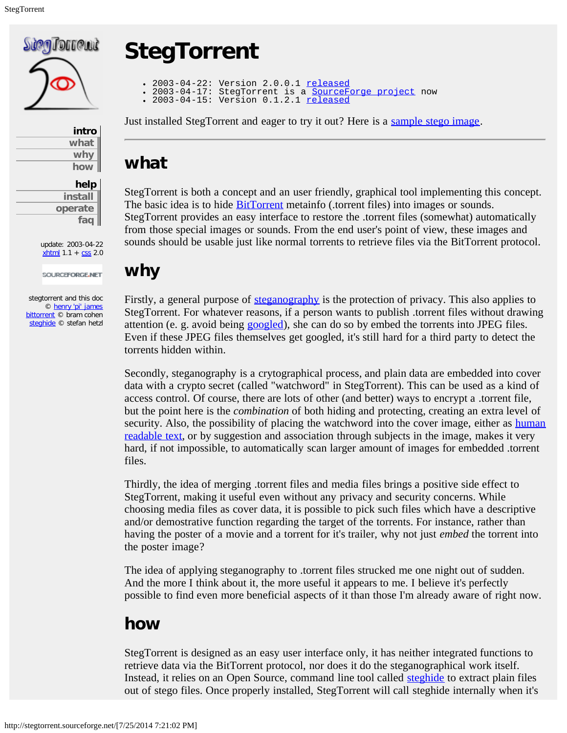

| intro |
|-------|
| what  |
| why   |
| how   |

<span id="page-0-0"></span>

| help    |
|---------|
| install |
| operate |
| faq     |

update: 2003-04-22  $x$ html 1.1 +  $\text{CSS}$  2.0

SOURCEFORGE.NET

<span id="page-0-1"></span>stegtorrent and this doc © [henry 'pi' james](mailto:henrypijames@users.sourceforge.net) [bittorrent](http://bitconjurer.org/BitTorrent/) © bram cohen [steghide](http://steghide.sourceforge.net/) © stefan hetzl

# **StegTorrent**

- 2003-04-22: Version 2.0.0.1 <u>[released](http://sourceforge.net/project/showfiles.php?group_id=79052&release_id=154557)</u>
	- 2003-04-17: StegTorrent is a <u>SourceForge project</u> now<br>2003-04-15: Version 0.1.2.1 <u>[released](http://sourceforge.net/project/showfiles.php?group_id=79052&release_id=153700)</u>
	-

Just installed StegTorrent and eager to try it out? Here is a [sample stego image.](http://stegtorrent.sourceforge.net/storrent_matrix.jpg)

### **what**

StegTorrent is both a concept and an user friendly, graphical tool implementing this concept. The basic idea is to hide **BitTorrent** metainfo (.torrent files) into images or sounds. StegTorrent provides an easy interface to restore the .torrent files (somewhat) automatically from those special images or sounds. From the end user's point of view, these images and sounds should be usable just like normal torrents to retrieve files via the BitTorrent protocol.

### **why**

Firstly, a general purpose of <u>steganography</u> is the protection of privacy. This also applies to StegTorrent. For whatever reasons, if a person wants to publish .torrent files without drawing attention (e. g. avoid being [googled](http://www.google.com/)), she can do so by embed the torrents into JPEG files. Even if these JPEG files themselves get googled, it's still hard for a third party to detect the torrents hidden within.

Secondly, steganography is a crytographical process, and plain data are embedded into cover data with a crypto secret (called "watchword" in StegTorrent). This can be used as a kind of access control. Of course, there are lots of other (and better) ways to encrypt a .torrent file, but the point here is the *combination* of both hiding and protecting, creating an extra level of security. Also, the possibility of placing the watchword into the cover image, either as [human](http://www.captcha.net/) [readable text,](http://www.captcha.net/) or by suggestion and association through subjects in the image, makes it very hard, if not impossible, to automatically scan larger amount of images for embedded .torrent files.

Thirdly, the idea of merging .torrent files and media files brings a positive side effect to StegTorrent, making it useful even without any privacy and security concerns. While choosing media files as cover data, it is possible to pick such files which have a descriptive and/or demostrative function regarding the target of the torrents. For instance, rather than having the poster of a movie and a torrent for it's trailer, why not just *embed* the torrent into the poster image?

The idea of applying steganography to .torrent files strucked me one night out of sudden. And the more I think about it, the more useful it appears to me. I believe it's perfectly possible to find even more beneficial aspects of it than those I'm already aware of right now.

# **how**

StegTorrent is designed as an easy user interface only, it has neither integrated functions to retrieve data via the BitTorrent protocol, nor does it do the steganographical work itself. Instead, it relies on an Open Source, command line tool called [steghide](http://steghide.sourceforge.net/) to extract plain files out of stego files. Once properly installed, StegTorrent will call steghide internally when it's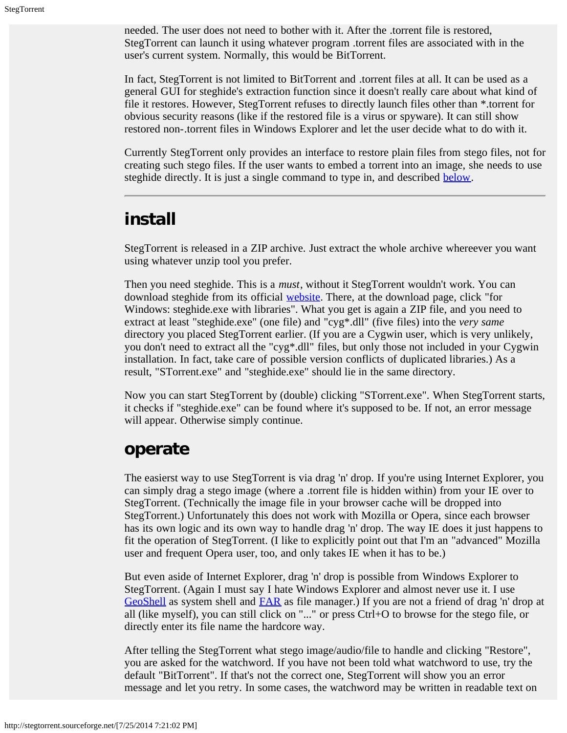<span id="page-1-1"></span><span id="page-1-0"></span>needed. The user does not need to bother with it. After the .torrent file is restored, StegTorrent can launch it using whatever program .torrent files are associated with in the user's current system. Normally, this would be BitTorrent.

In fact, StegTorrent is not limited to BitTorrent and .torrent files at all. It can be used as a general GUI for steghide's extraction function since it doesn't really care about what kind of file it restores. However, StegTorrent refuses to directly launch files other than \*.torrent for obvious security reasons (like if the restored file is a virus or spyware). It can still show restored non-.torrent files in Windows Explorer and let the user decide what to do with it.

Currently StegTorrent only provides an interface to restore plain files from stego files, not for creating such stego files. If the user wants to embed a torrent into an image, she needs to use steghide directly. It is just a single command to type in, and described [below.](#page-3-1)

### <span id="page-1-2"></span>**install**

StegTorrent is released in a ZIP archive. Just extract the whole archive whereever you want using whatever unzip tool you prefer.

Then you need steghide. This is a *must*, without it StegTorrent wouldn't work. You can download steghide from its official [website](http://steghide.sourceforge.net/). There, at the download page, click "for Windows: steghide.exe with libraries". What you get is again a ZIP file, and you need to extract at least "steghide.exe" (one file) and "cyg\*.dll" (five files) into the *very same* directory you placed StegTorrent earlier. (If you are a Cygwin user, which is very unlikely, you don't need to extract all the "cyg\*.dll" files, but only those not included in your Cygwin installation. In fact, take care of possible version conflicts of duplicated libraries.) As a result, "STorrent.exe" and "steghide.exe" should lie in the same directory.

Now you can start StegTorrent by (double) clicking "STorrent.exe". When StegTorrent starts, it checks if "steghide.exe" can be found where it's supposed to be. If not, an error message will appear. Otherwise simply continue.

#### **operate**

The easierst way to use StegTorrent is via drag 'n' drop. If you're using Internet Explorer, you can simply drag a stego image (where a .torrent file is hidden within) from your IE over to StegTorrent. (Technically the image file in your browser cache will be dropped into StegTorrent.) Unfortunately this does not work with Mozilla or Opera, since each browser has its own logic and its own way to handle drag 'n' drop. The way IE does it just happens to fit the operation of StegTorrent. (I like to explicitly point out that I'm an "advanced" Mozilla user and frequent Opera user, too, and only takes IE when it has to be.)

But even aside of Internet Explorer, drag 'n' drop is possible from Windows Explorer to StegTorrent. (Again I must say I hate Windows Explorer and almost never use it. I use [GeoShell](http://www.geoshell.com/) as system shell and [FAR](http://www.rarlab.com/far_manager.htm) as file manager.) If you are not a friend of drag 'n' drop at all (like myself), you can still click on "..." or press Ctrl+O to browse for the stego file, or directly enter its file name the hardcore way.

After telling the StegTorrent what stego image/audio/file to handle and clicking "Restore", you are asked for the watchword. If you have not been told what watchword to use, try the default "BitTorrent". If that's not the correct one, StegTorrent will show you an error message and let you retry. In some cases, the watchword may be written in readable text on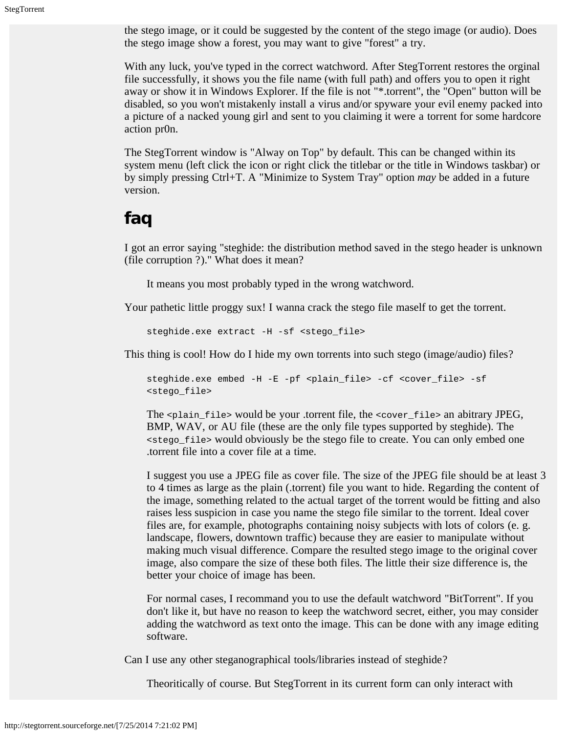<span id="page-2-0"></span>the stego image, or it could be suggested by the content of the stego image (or audio). Does the stego image show a forest, you may want to give "forest" a try.

With any luck, you've typed in the correct watchword. After StegTorrent restores the orginal file successfully, it shows you the file name (with full path) and offers you to open it right away or show it in Windows Explorer. If the file is not "\*.torrent", the "Open" button will be disabled, so you won't mistakenly install a virus and/or spyware your evil enemy packed into a picture of a nacked young girl and sent to you claiming it were a torrent for some hardcore action pr0n.

The StegTorrent window is "Alway on Top" by default. This can be changed within its system menu (left click the icon or right click the titlebar or the title in Windows taskbar) or by simply pressing Ctrl+T. A "Minimize to System Tray" option *may* be added in a future version.

## **faq**

I got an error saying "steghide: the distribution method saved in the stego header is unknown (file corruption ?)." What does it mean?

It means you most probably typed in the wrong watchword.

Your pathetic little proggy sux! I wanna crack the stego file maself to get the torrent.

steghide.exe extract -H -sf <stego\_file>

This thing is cool! How do I hide my own torrents into such stego (image/audio) files?

steghide.exe embed -H -E -pf <plain\_file> -cf <cover\_file> -sf <stego\_file>

The  $\epsilon_{\text{plain\_file}}$  would be your .torrent file, the  $\epsilon_{\text{cover\_file}}$  an abitrary JPEG, BMP, WAV, or AU file (these are the only file types supported by steghide). The <stego\_file> would obviously be the stego file to create. You can only embed one .torrent file into a cover file at a time.

I suggest you use a JPEG file as cover file. The size of the JPEG file should be at least 3 to 4 times as large as the plain (.torrent) file you want to hide. Regarding the content of the image, something related to the actual target of the torrent would be fitting and also raises less suspicion in case you name the stego file similar to the torrent. Ideal cover files are, for example, photographs containing noisy subjects with lots of colors (e. g. landscape, flowers, downtown traffic) because they are easier to manipulate without making much visual difference. Compare the resulted stego image to the original cover image, also compare the size of these both files. The little their size difference is, the better your choice of image has been.

For normal cases, I recommand you to use the default watchword "BitTorrent". If you don't like it, but have no reason to keep the watchword secret, either, you may consider adding the watchword as text onto the image. This can be done with any image editing software.

Can I use any other steganographical tools/libraries instead of steghide?

Theoritically of course. But StegTorrent in its current form can only interact with